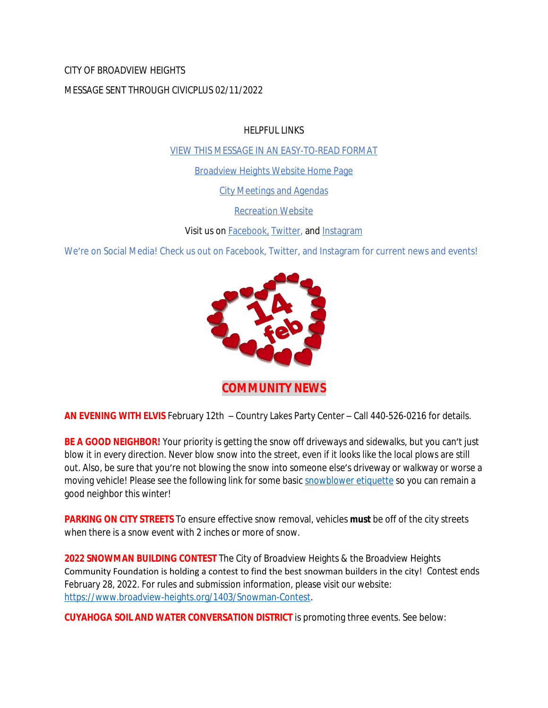CITY OF BROADVIEW HEIGHTS

MESSAGE SENT THROUGH CIVICPLUS 02/11/2022

HELPFUL LINKS

[VIEW THIS MESSAGE IN AN EASY-TO-READ FORMAT](https://www.broadview-heights.org/Archive.aspx?AMID=37)

[Broadview Heights Website Home Page](https://www.broadview-heights.org/)

[City Meetings and Agendas](https://www.broadview-heights.org/CivicAlerts.aspx?AID=175)

[Recreation Website](https://broadview-heights.org/292/Parks-Recreation)

Visit us on **Facebook**, [Twitter,](https://twitter.com/broadviewhts) and [Instagram](https://www.instagram.com/cityofbroadviewheights/)

We're on Social Media! Check us out on Facebook, Twitter, and Instagram for current news and events!



**COMMUNITY NEWS**

**AN EVENING WITH ELVIS** February 12th – Country Lakes Party Center – Call 440-526-0216 for details.

**BE A GOOD NEIGHBOR!** Your priority is getting the snow off driveways and sidewalks, but you can't just blow it in every direction. Never blow snow into the street, even if it looks like the local plows are still out. Also, be sure that you're not blowing the snow into someone else's driveway or walkway or worse a moving vehicle! Please see the following link for some basic [snowblower etiquette](https://www.broadview-heights.org/DocumentCenter/View/9202/BE-CAREFUL-WHERE-YOU-PUT-THE-SNOW) so you can remain a good neighbor this winter!

**PARKING ON CITY STREETS** To ensure effective snow removal, vehicles **must** be off of the city streets when there is a snow event with 2 inches or more of snow.

**2022 SNOWMAN BUILDING CONTEST** The City of Broadview Heights & the Broadview Heights Community Foundation is holding a contest to find the best snowman builders in the city! Contest ends February 28, 2022. For rules and submission information, please visit our website: <https://www.broadview-heights.org/1403/Snowman-Contest>.

**CUYAHOGA SOIL AND WATER CONVERSATION DISTRICT** is promoting three events. See below: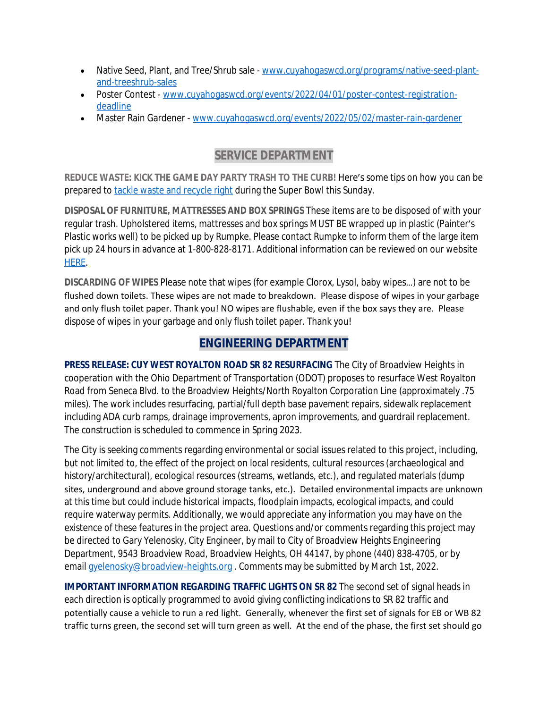- Native Seed, Plant, and Tree/Shrub sale - [www.cuyahogaswcd.org/programs/native-seed-plant](http://www.cuyahogaswcd.org/programs/native-seed-plant-and-treeshrub-sales)and-treeshrub-sales
- Poster Contest - [www.cuyahogaswcd.org/events/2022/04/01/poster-contest-registration](http://www.cuyahogaswcd.org/events/2022/04/01/poster-contest-registration-deadline)deadline
- Master Rain Gardener - [www.cuyahogaswcd.org/events/2022/05/02/master-rain-gardener](http://www.cuyahogaswcd.org/events/2022/05/02/master-rain-gardener)

# **SERVICE DEPARTMENT**

**REDUCE WASTE: KICK THE GAME DAY PARTY TRASH TO THE CURB!** Here's some tips on how you can be prepared to [tackle waste and recycle right](https://www.broadview-heights.org/DocumentCenter/View/9215/Superbowl-Trash) during the Super Bowl this Sunday.

**DISPOSAL OF FURNITURE, MATTRESSES AND BOX SPRINGS** These items are to be disposed of with your regular trash. Upholstered items, mattresses and box springs MUST BE wrapped up in plastic (Painter's Plastic works well) to be picked up by Rumpke. Please contact Rumpke to inform them of the large item pick up 24 hours in advance at 1-800-828-8171. Additional information can be reviewed on our website [HERE.](https://www.broadview-heights.org/1027/Garbage-Recycling)

**DISCARDING OF WIPES** Please note that wipes (for example Clorox, Lysol, baby wipes…) are not to be flushed down toilets. These wipes are not made to breakdown. Please dispose of wipes in your garbage and only flush toilet paper. Thank you! NO wipes are flushable, even if the box says they are. Please dispose of wipes in your garbage and only flush toilet paper. Thank you!

# **ENGINEERING DEPARTMENT**

**PRESS RELEASE: CUY WEST ROYALTON ROAD SR 82 RESURFACING** The City of Broadview Heights in cooperation with the Ohio Department of Transportation (ODOT) proposes to resurface West Royalton Road from Seneca Blvd. to the Broadview Heights/North Royalton Corporation Line (approximately .75 miles). The work includes resurfacing, partial/full depth base pavement repairs, sidewalk replacement including ADA curb ramps, drainage improvements, apron improvements, and guardrail replacement. The construction is scheduled to commence in Spring 2023.

The City is seeking comments regarding environmental or social issues related to this project, including, but not limited to, the effect of the project on local residents, cultural resources (archaeological and history/architectural), ecological resources (streams, wetlands, etc.), and regulated materials (dump sites, underground and above ground storage tanks, etc.). Detailed environmental impacts are unknown at this time but could include historical impacts, floodplain impacts, ecological impacts, and could require waterway permits. Additionally, we would appreciate any information you may have on the existence of these features in the project area. Questions and/or comments regarding this project may be directed to Gary Yelenosky, City Engineer, by mail to City of Broadview Heights Engineering Department, 9543 Broadview Road, Broadview Heights, OH 44147, by phone (440) 838-4705, or by email [gyelenosky@broadview-heights.org](mailto:gyelenosky@broadview-heights.org) . Comments may be submitted by March 1st, 2022.

**IMPORTANT INFORMATION REGARDING TRAFFIC LIGHTS ON SR 82** The second set of signal heads in each direction is optically programmed to avoid giving conflicting indications to SR 82 traffic and potentially cause a vehicle to run a red light. Generally, whenever the first set of signals for EB or WB 82 traffic turns green, the second set will turn green as well. At the end of the phase, the first set should go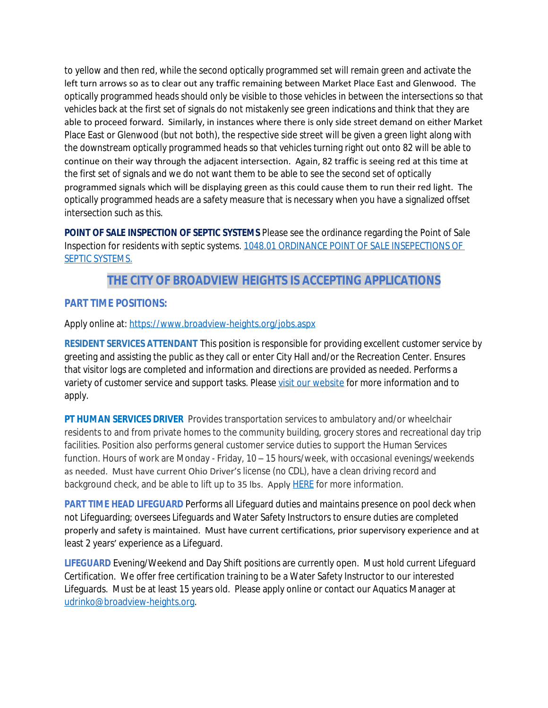to yellow and then red, while the second optically programmed set will remain green and activate the left turn arrows so as to clear out any traffic remaining between Market Place East and Glenwood. The optically programmed heads should only be visible to those vehicles in between the intersections so that vehicles back at the first set of signals do not mistakenly see green indications and think that they are able to proceed forward. Similarly, in instances where there is only side street demand on either Market Place East or Glenwood (but not both), the respective side street will be given a green light along with the downstream optically programmed heads so that vehicles turning right out onto 82 will be able to continue on their way through the adjacent intersection. Again, 82 traffic is seeing red at this time at the first set of signals and we do not want them to be able to see the second set of optically programmed signals which will be displaying green as this could cause them to run their red light. The optically programmed heads are a safety measure that is necessary when you have a signalized offset intersection such as this.

**POINT OF SALE INSPECTION OF SEPTIC SYSTEMS** Please see the ordinance regarding the Point of Sale Inspection for residents with septic systems. [1048.01 ORDINANCE POINT OF SALE INSEPECTIONS OF](https://codelibrary.amlegal.com/codes/broadviewhts/latest/broadview_oh/0-0-0-13398)  SEPTIC SYSTEMS.

## **THE CITY OF BROADVIEW HEIGHTS IS ACCEPTING APPLICATIONS**

### **PART TIME POSITIONS:**

Apply online at: <https://www.broadview-heights.org/jobs.aspx>

**RESIDENT SERVICES ATTENDANT** This position is responsible for providing excellent customer service by greeting and assisting the public as they call or enter City Hall and/or the Recreation Center. Ensures that visitor logs are completed and information and directions are provided as needed. Performs a variety of customer service and support tasks. Please [visit our website](https://www.broadview-heights.org/Jobs.aspx?UniqueId=98&From=98&CommunityJobs=False&JobID=Resident-Services-Attendant-135) for more information and to apply.

**PT HUMAN SERVICES DRIVER** Provides transportation services to ambulatory and/or wheelchair residents to and from private homes to the community building, grocery stores and recreational day trip facilities. Position also performs general customer service duties to support the Human Services function. Hours of work are Monday - Friday, 10 – 15 hours/week, with occasional evenings/weekends as needed. Must have current Ohio Driver's license (no CDL), have a clean driving record and background check, and be able to lift up to 35 lbs. Apply **HERE** for more information.

**PART TIME HEAD LIFEGUARD** Performs all Lifeguard duties and maintains presence on pool deck when not Lifeguarding; oversees Lifeguards and Water Safety Instructors to ensure duties are completed properly and safety is maintained. Must have current certifications, prior supervisory experience and at least 2 years' experience as a Lifeguard.

**LIFEGUARD** Evening/Weekend and Day Shift positions are currently open. Must hold current Lifeguard Certification. We offer free certification training to be a Water Safety Instructor to our interested Lifeguards. Must be at least 15 years old. Please apply online or contact our Aquatics Manager at [udrinko@broadview-heights.org](mailto:udrinko@broadview-heights.org).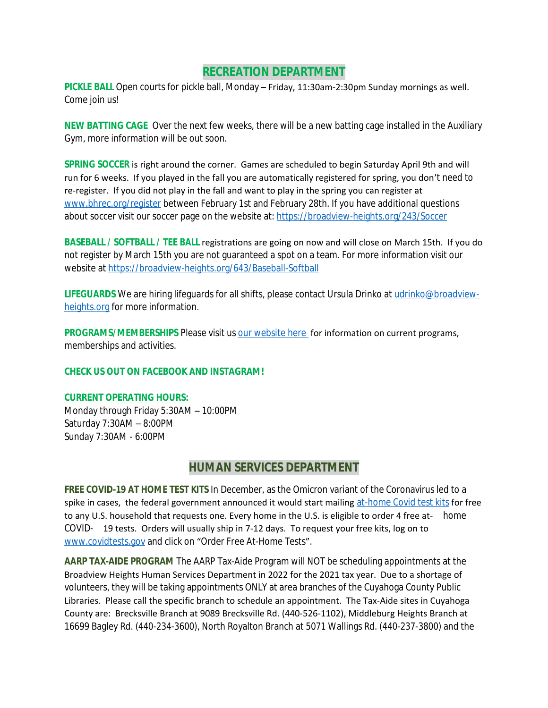### **RECREATION DEPARTMENT**

**PICKLE BALL** Open courts for pickle ball, Monday – Friday, 11:30am-2:30pm Sunday mornings as well. Come join us!

**NEW BATTING CAGE** Over the next few weeks, there will be a new batting cage installed in the Auxiliary Gym, more information will be out soon.

**SPRING SOCCER** is right around the corner. Games are scheduled to begin Saturday April 9th and will run for 6 weeks. If you played in the fall you are automatically registered for spring, you don't need to re-register. If you did not play in the fall and want to play in the spring you can register at [www.bhrec.org/register](http://www.bhrec.org/register) between February 1st and February 28th. If you have additional questions about soccer visit our soccer page on the website at:<https://broadview-heights.org/243/Soccer>

**BASEBALL / SOFTBALL / TEE BALL** registrations are going on now and will close on March 15th. If you do not register by March 15th you are not guaranteed a spot on a team. For more information visit our website at<https://broadview-heights.org/643/Baseball-Softball>

LIFEGUARDS We are hiring lifeguards for all shifts, please contact Ursula Drinko at [udrinko@broadview](mailto:udrinko@broadview-heights.org)heights.org for more information.

**PROGRAMS/MEMBERSHIPS** Please visit us **our website here** for information on current programs, memberships and activities.

#### **CHECK US OUT ON FACEBOOK AND INSTAGRAM!**

#### **CURRENT OPERATING HOURS:**

Monday through Friday 5:30AM – 10:00PM Saturday 7:30AM – 8:00PM Sunday 7:30AM - 6:00PM

## **HUMAN SERVICES DEPARTMENT**

**FREE COVID-19 AT HOME TEST KITS** In December, as the Omicron variant of the Coronavirus led to a spike in cases, the federal government announced it would start mailing [at-home Covid test kits](https://www.nbcnews.com/health/cold-and-flu/startling-americans-feel-increased-anxiety-covid-cases-surge-rcna9415) for free to any U.S. household that requests one. Every home in the U.S. is eligible to order 4 free at- home COVID- 19 tests. Orders will usually ship in 7-12 days. To request your free kits, log on to [www.covidtests.gov](http://www.covidtests.gov) and click on "Order Free At-Home Tests".

**AARP TAX-AIDE PROGRAM** The AARP Tax-Aide Program will NOT be scheduling appointments at the Broadview Heights Human Services Department in 2022 for the 2021 tax year. Due to a shortage of volunteers, they will be taking appointments ONLY at area branches of the Cuyahoga County Public Libraries. Please call the specific branch to schedule an appointment. The Tax-Aide sites in Cuyahoga County are: Brecksville Branch at 9089 Brecksville Rd. (440-526-1102), Middleburg Heights Branch at 16699 Bagley Rd. (440-234-3600), North Royalton Branch at 5071 Wallings Rd. (440-237-3800) and the